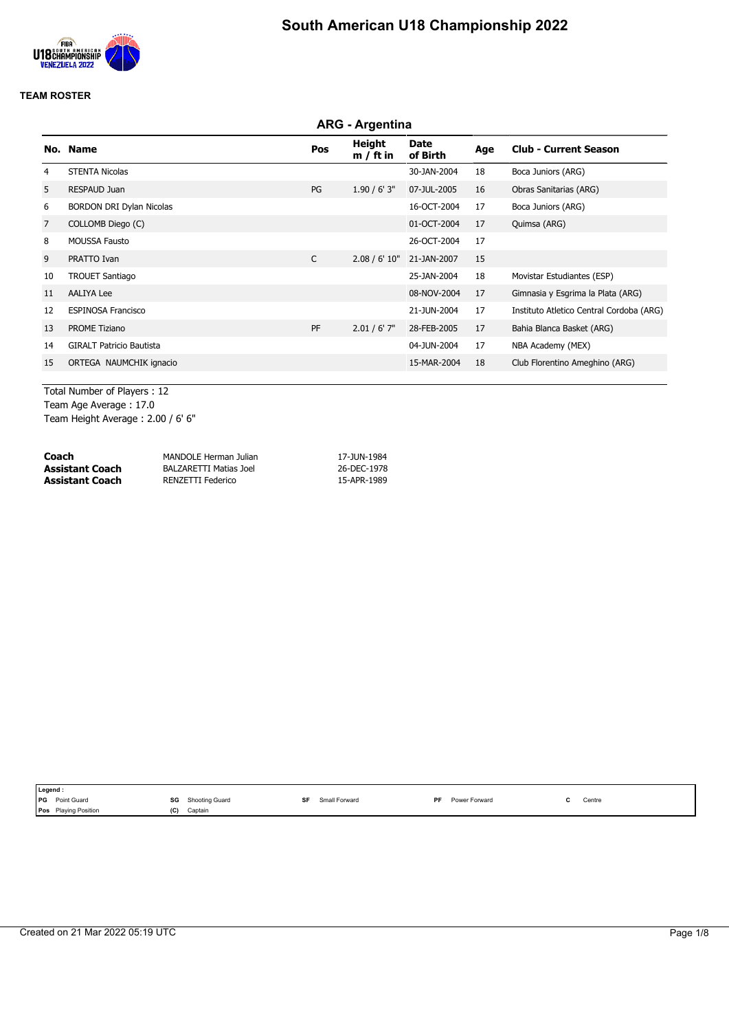

|                | <b>ARG - Argentina</b>          |              |                              |                  |     |                                          |  |  |  |
|----------------|---------------------------------|--------------|------------------------------|------------------|-----|------------------------------------------|--|--|--|
|                | No. Name                        | Pos          | <b>Height</b><br>$m / ft$ in | Date<br>of Birth | Age | <b>Club - Current Season</b>             |  |  |  |
| 4              | <b>STENTA Nicolas</b>           |              |                              | 30-JAN-2004      | 18  | Boca Juniors (ARG)                       |  |  |  |
| 5              | <b>RESPAUD Juan</b>             | PG           | $1.90 / 6'$ 3"               | 07-JUL-2005      | 16  | Obras Sanitarias (ARG)                   |  |  |  |
| 6              | <b>BORDON DRI Dylan Nicolas</b> |              |                              | 16-OCT-2004      | 17  | Boca Juniors (ARG)                       |  |  |  |
| $\overline{7}$ | COLLOMB Diego (C)               |              |                              | 01-OCT-2004      | 17  | Quimsa (ARG)                             |  |  |  |
| 8              | <b>MOUSSA Fausto</b>            |              |                              | 26-OCT-2004      | 17  |                                          |  |  |  |
| 9              | PRATTO Ivan                     | $\mathsf{C}$ | 2.08 / 6' 10"                | 21-JAN-2007      | 15  |                                          |  |  |  |
| 10             | <b>TROUET Santiago</b>          |              |                              | 25-JAN-2004      | 18  | Movistar Estudiantes (ESP)               |  |  |  |
| 11             | <b>AALIYA Lee</b>               |              |                              | 08-NOV-2004      | 17  | Gimnasia y Esgrima la Plata (ARG)        |  |  |  |
| 12             | <b>ESPINOSA Francisco</b>       |              |                              | 21-JUN-2004      | 17  | Instituto Atletico Central Cordoba (ARG) |  |  |  |
| 13             | <b>PROME Tiziano</b>            | PF           | $2.01 / 6'$ 7"               | 28-FEB-2005      | 17  | Bahia Blanca Basket (ARG)                |  |  |  |
| 14             | <b>GIRALT Patricio Bautista</b> |              |                              | 04-JUN-2004      | 17  | NBA Academy (MEX)                        |  |  |  |
| 15             | ORTEGA NAUMCHIK ignacio         |              |                              | 15-MAR-2004      | 18  | Club Florentino Ameghino (ARG)           |  |  |  |

Total Number of Players : 12 Team Age Average : 17.0 Team Height Average : 2.00 / 6' 6"

| Coach           | MANDOLE Herman Julian  | 17-JUN-1984 |
|-----------------|------------------------|-------------|
| Assistant Coach | BALZARETTI Matias Joel | 26-DEC-1978 |
| Assistant Coach | RENZETTI Federico      | 15-APR-1989 |

|            | Legend :                    |     |                |               |    |               |                                               |
|------------|-----------------------------|-----|----------------|---------------|----|---------------|-----------------------------------------------|
| <b>IPG</b> | Point Guard                 | SG  | Shooting Guard | Small Forward | PF | Power Forward | Centre<br>the contract of the contract of the |
|            | <b>Pos</b> Playing Position | (C) | Captain        |               |    |               |                                               |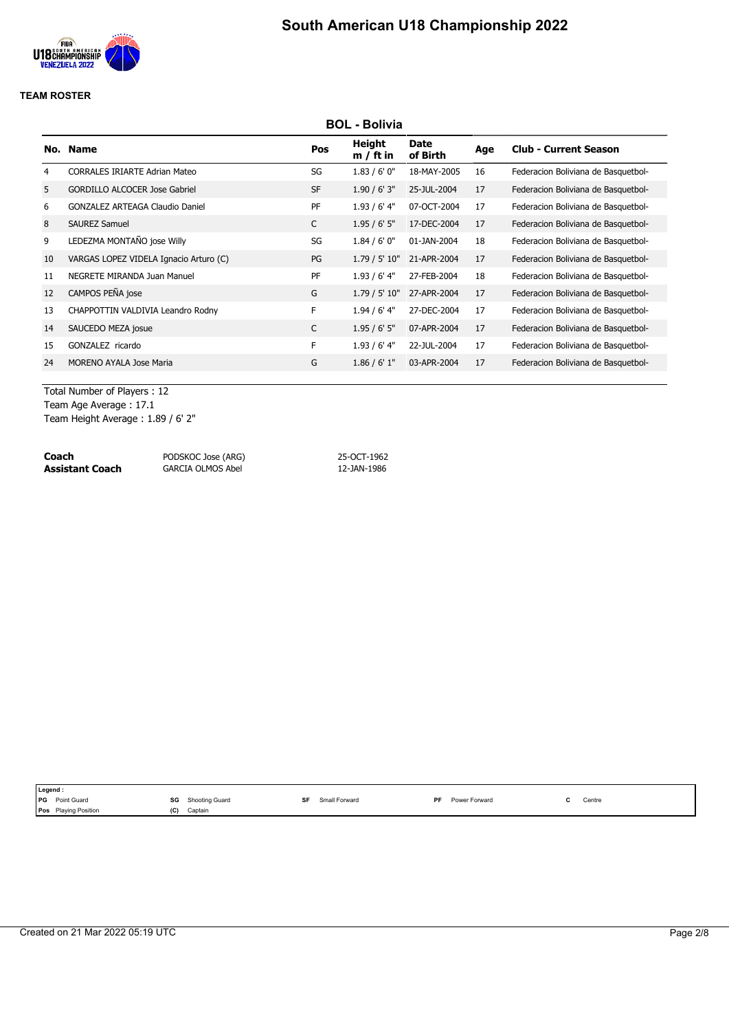

|    | <b>BOL - Bolivia</b>                   |              |                       |                         |     |                                     |  |  |  |  |
|----|----------------------------------------|--------------|-----------------------|-------------------------|-----|-------------------------------------|--|--|--|--|
|    | No. Name                               | Pos          | Height<br>$m / ft$ in | <b>Date</b><br>of Birth | Age | <b>Club - Current Season</b>        |  |  |  |  |
| 4  | <b>CORRALES IRIARTE Adrian Mateo</b>   | SG           | 1.83/6'0''            | 18-MAY-2005             | 16  | Federacion Boliviana de Basquetbol- |  |  |  |  |
| 5  | <b>GORDILLO ALCOCER Jose Gabriel</b>   | <b>SF</b>    | 1.90 / 6' 3''         | 25-JUL-2004             | 17  | Federacion Boliviana de Basquetbol- |  |  |  |  |
| 6  | <b>GONZALEZ ARTEAGA Claudio Daniel</b> | PF           | $1.93/6'$ 4"          | 07-OCT-2004             | 17  | Federacion Boliviana de Basquetbol- |  |  |  |  |
| 8  | <b>SAUREZ Samuel</b>                   | $\mathsf{C}$ | 1.95/6'5''            | 17-DEC-2004             | 17  | Federacion Boliviana de Basquetbol- |  |  |  |  |
| 9  | LEDEZMA MONTAÑO jose Willy             | SG           | 1.84/6'0''            | 01-JAN-2004             | 18  | Federacion Boliviana de Basquetbol- |  |  |  |  |
| 10 | VARGAS LOPEZ VIDELA Ignacio Arturo (C) | PG           | 1.79 / 5' 10"         | 21-APR-2004             | 17  | Federacion Boliviana de Basquetbol- |  |  |  |  |
| 11 | NEGRETE MIRANDA Juan Manuel            | PF           | $1.93/6'$ 4"          | 27-FEB-2004             | 18  | Federacion Boliviana de Basquetbol- |  |  |  |  |
| 12 | CAMPOS PEÑA jose                       | G            | 1.79 / 5' 10"         | 27-APR-2004             | 17  | Federacion Boliviana de Basquetbol- |  |  |  |  |
| 13 | CHAPPOTTIN VALDIVIA Leandro Rodny      | F            | $1.94/6'$ 4"          | 27-DEC-2004             | 17  | Federacion Boliviana de Basquetbol- |  |  |  |  |
| 14 | SAUCEDO MEZA josue                     | C            | 1.95/6'5''            | 07-APR-2004             | 17  | Federacion Boliviana de Basquetbol- |  |  |  |  |
| 15 | GONZALEZ ricardo                       | F            | $1.93/6'$ 4"          | 22-JUL-2004             | 17  | Federacion Boliviana de Basquetbol- |  |  |  |  |
| 24 | <b>MORENO AYALA Jose Maria</b>         | G            | 1.86 / 6' 1''         | 03-APR-2004             | 17  | Federacion Boliviana de Basquetbol- |  |  |  |  |
|    |                                        |              |                       |                         |     |                                     |  |  |  |  |

Total Number of Players : 12 Team Age Average : 17.1 Team Height Average : 1.89 / 6' 2"

| Coach                  | PODSKOC Jose (ARG)       | 25-OCT-1962 |
|------------------------|--------------------------|-------------|
| <b>Assistant Coach</b> | <b>GARCIA OLMOS Abel</b> | 12-JAN-1986 |

| SG<br><b>PG</b><br>Point Guard<br>S۴<br><b>PF</b><br>Shooting Guard<br>Small Forward<br>Power Forward | Legend: |                                           |
|-------------------------------------------------------------------------------------------------------|---------|-------------------------------------------|
|                                                                                                       |         | Centre<br>the contract of the contract of |
| <b>Playing Position</b><br>(C)<br>Captain<br><b>Pos</b>                                               |         |                                           |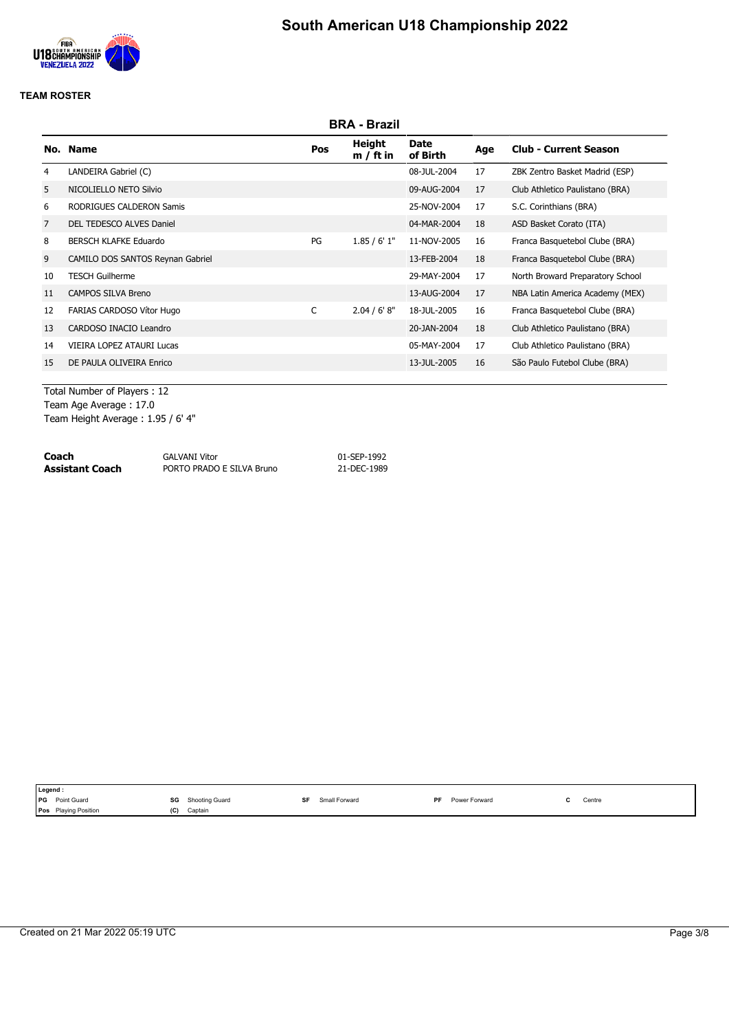

|    | <b>BRA - Brazil</b>              |     |                       |                         |     |                                  |  |  |  |  |
|----|----------------------------------|-----|-----------------------|-------------------------|-----|----------------------------------|--|--|--|--|
|    | No. Name                         | Pos | Height<br>$m / ft$ in | <b>Date</b><br>of Birth | Age | <b>Club - Current Season</b>     |  |  |  |  |
| 4  | LANDEIRA Gabriel (C)             |     |                       | 08-JUL-2004             | 17  | ZBK Zentro Basket Madrid (ESP)   |  |  |  |  |
| 5  | NICOLIELLO NETO Silvio           |     |                       | 09-AUG-2004             | 17  | Club Athletico Paulistano (BRA)  |  |  |  |  |
| 6  | RODRIGUES CALDERON Samis         |     |                       | 25-NOV-2004             | 17  | S.C. Corinthians (BRA)           |  |  |  |  |
| 7  | DEL TEDESCO ALVES Daniel         |     |                       | 04-MAR-2004             | 18  | ASD Basket Corato (ITA)          |  |  |  |  |
| 8  | <b>BERSCH KLAFKE Eduardo</b>     | PG  | 1.85/6'1"             | 11-NOV-2005             | 16  | Franca Basquetebol Clube (BRA)   |  |  |  |  |
| 9  | CAMILO DOS SANTOS Reynan Gabriel |     |                       | 13-FEB-2004             | 18  | Franca Basquetebol Clube (BRA)   |  |  |  |  |
| 10 | <b>TESCH Guilherme</b>           |     |                       | 29-MAY-2004             | 17  | North Broward Preparatory School |  |  |  |  |
| 11 | <b>CAMPOS SILVA Breno</b>        |     |                       | 13-AUG-2004             | 17  | NBA Latin America Academy (MEX)  |  |  |  |  |
| 12 | FARIAS CARDOSO Vítor Hugo        | C   | 2.04 / 6' 8''         | 18-JUL-2005             | 16  | Franca Basquetebol Clube (BRA)   |  |  |  |  |
| 13 | CARDOSO INACIO Leandro           |     |                       | 20-JAN-2004             | 18  | Club Athletico Paulistano (BRA)  |  |  |  |  |
| 14 | VIEIRA LOPEZ ATAURI Lucas        |     |                       | 05-MAY-2004             | 17  | Club Athletico Paulistano (BRA)  |  |  |  |  |
| 15 | DE PAULA OLIVEIRA Enrico         |     |                       | 13-JUL-2005             | 16  | São Paulo Futebol Clube (BRA)    |  |  |  |  |
|    |                                  |     |                       |                         |     |                                  |  |  |  |  |

Total Number of Players : 12 Team Age Average : 17.0 Team Height Average : 1.95 / 6' 4"

| Coach           | <b>GALVANI Vitor</b>      | 01-SEP-1992 |
|-----------------|---------------------------|-------------|
| Assistant Coach | PORTO PRADO E SILVA Bruno | 21-DEC-1989 |

|      | Legend:              |     |                |    |               |           |               |                                           |
|------|----------------------|-----|----------------|----|---------------|-----------|---------------|-------------------------------------------|
| I PG | Point Guard          | SG  | Shooting Guard | S۴ | Small Forward | <b>DE</b> | Power Forward | Centre<br>the contract of the contract of |
|      | Pos Playing Position | (C) | Captain        |    |               |           |               |                                           |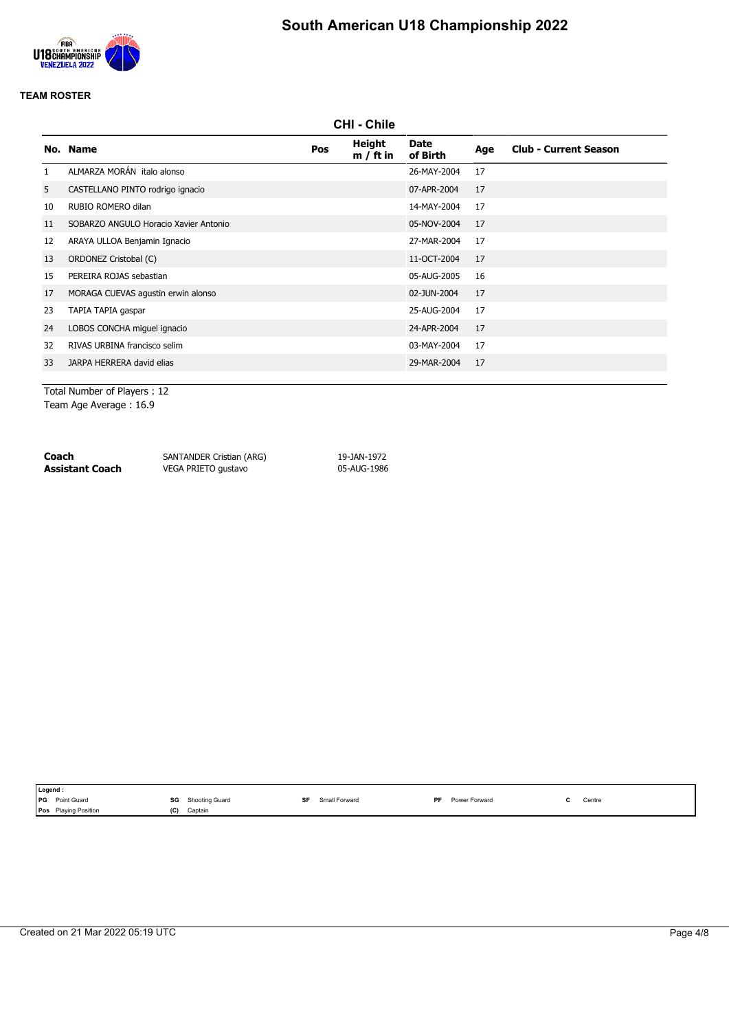

# **South American U18 Championship 2022**

#### **TEAM ROSTER**

|              | <b>CHI - Chile</b>                    |     |                       |                         |     |                              |  |  |  |  |
|--------------|---------------------------------------|-----|-----------------------|-------------------------|-----|------------------------------|--|--|--|--|
|              | No. Name                              | Pos | Height<br>$m / ft$ in | <b>Date</b><br>of Birth | Age | <b>Club - Current Season</b> |  |  |  |  |
| $\mathbf{1}$ | ALMARZA MORÁN italo alonso            |     |                       | 26-MAY-2004             | 17  |                              |  |  |  |  |
| 5            | CASTELLANO PINTO rodrigo ignacio      |     |                       | 07-APR-2004             | 17  |                              |  |  |  |  |
| 10           | RUBIO ROMERO dilan                    |     |                       | 14-MAY-2004             | 17  |                              |  |  |  |  |
| 11           | SOBARZO ANGULO Horacio Xavier Antonio |     |                       | 05-NOV-2004             | 17  |                              |  |  |  |  |
| 12           | ARAYA ULLOA Benjamin Ignacio          |     |                       | 27-MAR-2004             | 17  |                              |  |  |  |  |
| 13           | ORDONEZ Cristobal (C)                 |     |                       | 11-OCT-2004             | 17  |                              |  |  |  |  |
| 15           | PEREIRA ROJAS sebastian               |     |                       | 05-AUG-2005             | 16  |                              |  |  |  |  |
| 17           | MORAGA CUEVAS agustin erwin alonso    |     |                       | 02-JUN-2004             | 17  |                              |  |  |  |  |
| 23           | TAPIA TAPIA gaspar                    |     |                       | 25-AUG-2004             | 17  |                              |  |  |  |  |
| 24           | LOBOS CONCHA miguel ignacio           |     |                       | 24-APR-2004             | 17  |                              |  |  |  |  |
| 32           | RIVAS URBINA francisco selim          |     |                       | 03-MAY-2004             | 17  |                              |  |  |  |  |
| 33           | JARPA HERRERA david elias             |     |                       | 29-MAR-2004             | 17  |                              |  |  |  |  |
|              |                                       |     |                       |                         |     |                              |  |  |  |  |

Total Number of Players : 12 Team Age Average : 16.9

**Coach** SANTANDER Cristian (ARG) 19-JAN-1972<br> **Assistant Coach** VEGA PRIETO gustavo 195-AUG-1986 VEGA PRIETO gustavo

|            | Legend :                                                       |                                                                          |               |                                       |                                               |
|------------|----------------------------------------------------------------|--------------------------------------------------------------------------|---------------|---------------------------------------|-----------------------------------------------|
| <b>IPG</b> | Point Guard<br>the contract of the contract of the contract of | SG<br>Shooting Guard<br>the contract of the contract of<br>$\sim$ $\sim$ | Small Forward | DЕ<br><sup>-</sup> Forward<br>$P_{2}$ | Centre<br>the contract of the contract of the |
|            | l Pos<br><b>Plaving Position</b>                               | (C)<br>Captain                                                           |               |                                       |                                               |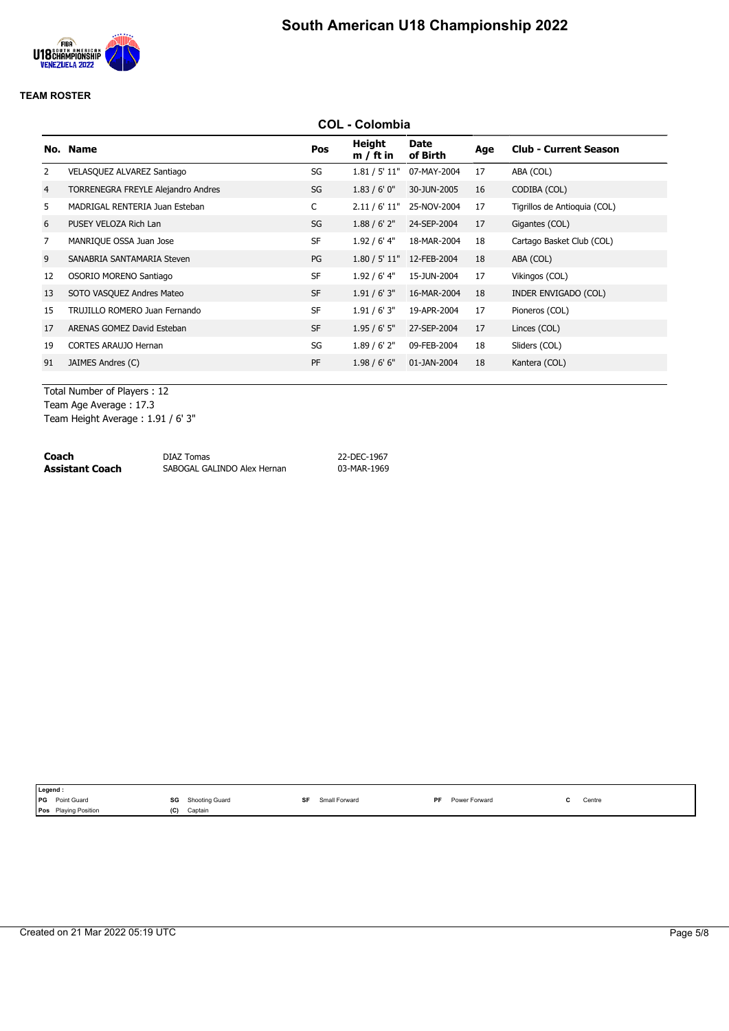

|                | <b>COL - Colombia</b>              |           |                       |                         |     |                              |  |  |  |  |
|----------------|------------------------------------|-----------|-----------------------|-------------------------|-----|------------------------------|--|--|--|--|
|                | No. Name                           | Pos       | Height<br>$m / ft$ in | <b>Date</b><br>of Birth | Age | <b>Club - Current Season</b> |  |  |  |  |
| 2              | VELASQUEZ ALVAREZ Santiago         | SG        | 1.81 / 5' 11"         | 07-MAY-2004             | 17  | ABA (COL)                    |  |  |  |  |
| 4              | TORRENEGRA FREYLE Alejandro Andres | SG        | 1.83/6'0''            | 30-JUN-2005             | 16  | CODIBA (COL)                 |  |  |  |  |
| 5              | MADRIGAL RENTERIA Juan Esteban     | C         | 2.11 / 6' 11"         | 25-NOV-2004             | 17  | Tigrillos de Antioquia (COL) |  |  |  |  |
| 6              | PUSEY VELOZA Rich Lan              | SG        | 1.88 / 6' 2''         | 24-SEP-2004             | 17  | Gigantes (COL)               |  |  |  |  |
| $\overline{7}$ | MANRIQUE OSSA Juan Jose            | <b>SF</b> | 1.92 / 6' 4"          | 18-MAR-2004             | 18  | Cartago Basket Club (COL)    |  |  |  |  |
| 9              | SANABRIA SANTAMARIA Steven         | PG        | 1.80 / 5' 11"         | 12-FEB-2004             | 18  | ABA (COL)                    |  |  |  |  |
| 12             | OSORIO MORENO Santiago             | <b>SF</b> | $1.92/6'$ 4"          | 15-JUN-2004             | 17  | Vikingos (COL)               |  |  |  |  |
| 13             | SOTO VASQUEZ Andres Mateo          | <b>SF</b> | 1.91 / 6' 3''         | 16-MAR-2004             | 18  | INDER ENVIGADO (COL)         |  |  |  |  |
| 15             | TRUJILLO ROMERO Juan Fernando      | <b>SF</b> | 1.91 / 6' 3''         | 19-APR-2004             | 17  | Pioneros (COL)               |  |  |  |  |
| 17             | ARENAS GOMEZ David Esteban         | <b>SF</b> | 1.95/6'5''            | 27-SEP-2004             | 17  | Linces (COL)                 |  |  |  |  |
| 19             | <b>CORTES ARAUJO Hernan</b>        | SG        | $1.89/6'$ 2"          | 09-FEB-2004             | 18  | Sliders (COL)                |  |  |  |  |
| 91             | JAIMES Andres (C)                  | <b>PF</b> | 1.98 / 6' 6''         | 01-JAN-2004             | 18  | Kantera (COL)                |  |  |  |  |

Total Number of Players : 12 Team Age Average : 17.3 Team Height Average : 1.91 / 6' 3"

**Coach** DIAZ Tomas 22-DEC-1967 **Assistant Coach** SABOGAL GALINDO Alex Hernan 03-MAR-1969

|            | Legend:                     |     |                |    |               |           |               |  |        |
|------------|-----------------------------|-----|----------------|----|---------------|-----------|---------------|--|--------|
| <b>IPG</b> | Point Guard                 | SG  | Shooting Guard | SF | Small Forward | <b>DF</b> | Power Forward |  | Centre |
|            | <b>Pos</b> Playing Position | (C) | Captain        |    |               |           |               |  |        |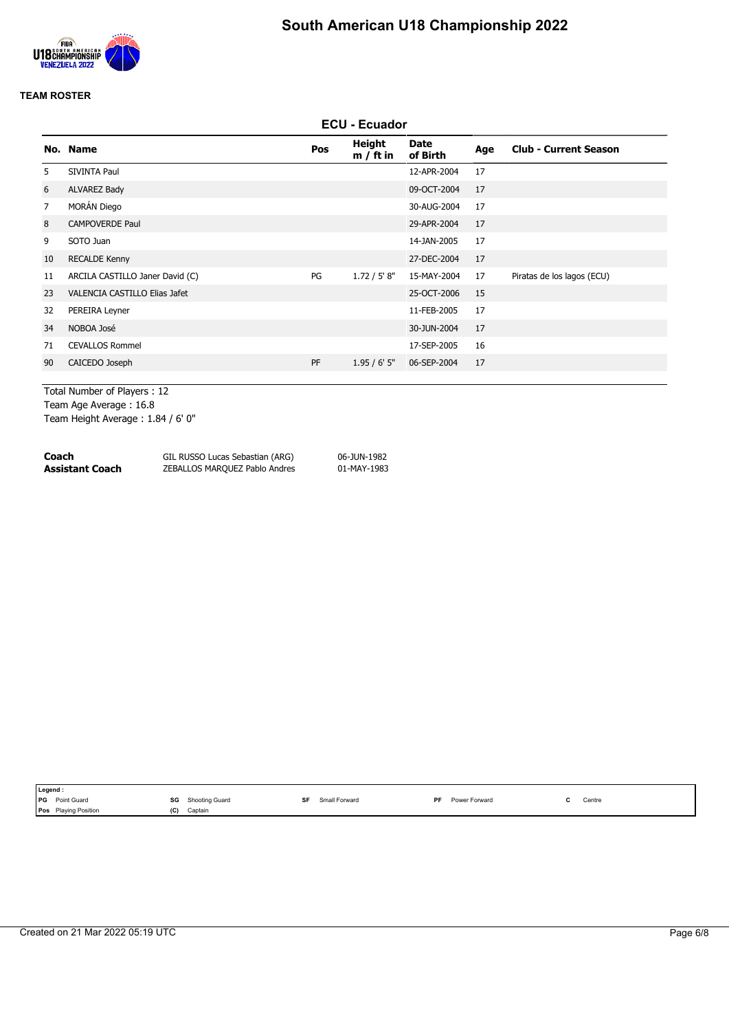

|                                 |     | <b>ECU - Ecuador</b>         |                         |     |                              |  |  |  |
|---------------------------------|-----|------------------------------|-------------------------|-----|------------------------------|--|--|--|
| No. Name                        | Pos | <b>Height</b><br>$m / ft$ in | <b>Date</b><br>of Birth | Age | <b>Club - Current Season</b> |  |  |  |
| <b>SIVINTA Paul</b>             |     |                              | 12-APR-2004             | 17  |                              |  |  |  |
| ALVAREZ Bady                    |     |                              | 09-OCT-2004             | 17  |                              |  |  |  |
| MORÁN Diego                     |     |                              | 30-AUG-2004             | 17  |                              |  |  |  |
| <b>CAMPOVERDE Paul</b>          |     |                              | 29-APR-2004             | 17  |                              |  |  |  |
| SOTO Juan                       |     |                              | 14-JAN-2005             | 17  |                              |  |  |  |
| <b>RECALDE Kenny</b>            |     |                              | 27-DEC-2004             | 17  |                              |  |  |  |
| ARCILA CASTILLO Janer David (C) | PG  | 1.72 / 5' 8''                | 15-MAY-2004             | 17  | Piratas de los lagos (ECU)   |  |  |  |
| VALENCIA CASTILLO Elias Jafet   |     |                              | 25-OCT-2006             | 15  |                              |  |  |  |
| PEREIRA Leyner                  |     |                              | 11-FEB-2005             | 17  |                              |  |  |  |
| NOBOA José                      |     |                              | 30-JUN-2004             | 17  |                              |  |  |  |
| <b>CEVALLOS Rommel</b>          |     |                              | 17-SEP-2005             | 16  |                              |  |  |  |
| CAICEDO Joseph                  | PF  | 1.95/6'5''                   | 06-SEP-2004             | 17  |                              |  |  |  |
|                                 |     |                              |                         |     |                              |  |  |  |

Total Number of Players : 12 Team Age Average : 16.8 Team Height Average : 1.84 / 6' 0"

| Coach           | GIL RUSSO Lucas Sebastian (ARG) | 06-JUN-1982 |
|-----------------|---------------------------------|-------------|
| Assistant Coach | ZEBALLOS MARQUEZ Pablo Andres   | 01-MAY-1983 |

|            | Legend:              |     |                |    |               |     |               |  |        |
|------------|----------------------|-----|----------------|----|---------------|-----|---------------|--|--------|
| <b>IPG</b> | Point Guard          | SG  | Shooting Guard | SF | Small Forward | DE. | Power Forward |  | Centre |
|            | Pos Playing Position | (C) | Captain        |    |               |     |               |  |        |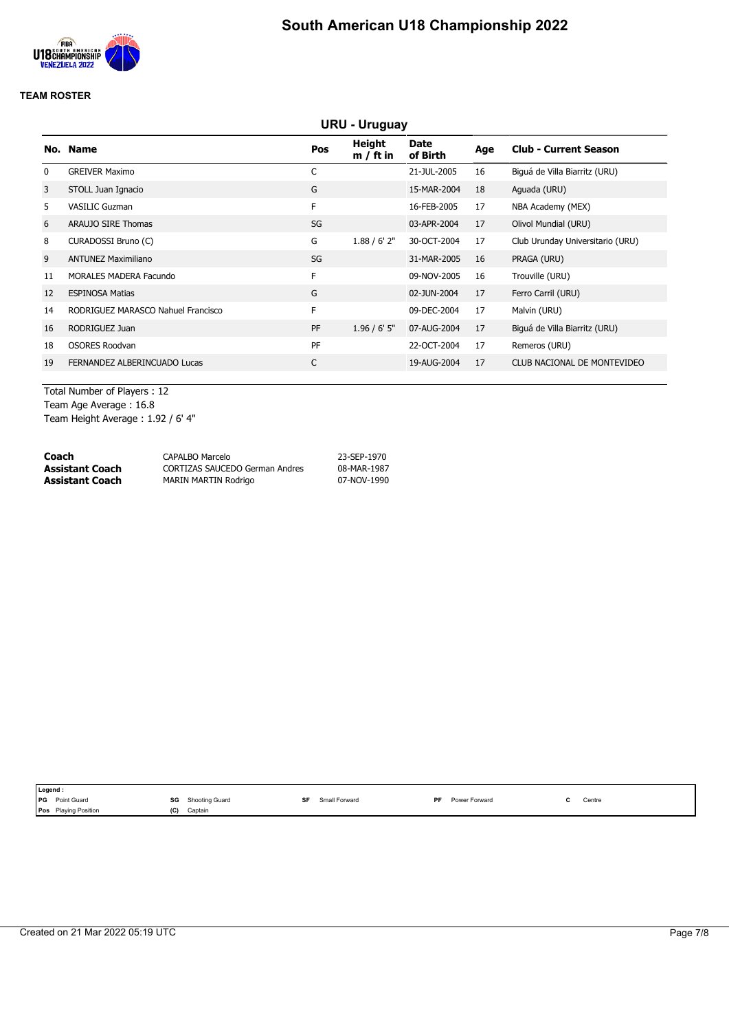

|    | URU - Uruguay                      |           |                       |                         |     |                                  |  |  |
|----|------------------------------------|-----------|-----------------------|-------------------------|-----|----------------------------------|--|--|
|    | No. Name                           | Pos       | Height<br>$m / ft$ in | <b>Date</b><br>of Birth | Age | <b>Club - Current Season</b>     |  |  |
| 0  | <b>GREIVER Maximo</b>              | C         |                       | 21-JUL-2005             | 16  | Biguá de Villa Biarritz (URU)    |  |  |
| 3  | STOLL Juan Ignacio                 | G         |                       | 15-MAR-2004             | 18  | Aguada (URU)                     |  |  |
| 5  | <b>VASILIC Guzman</b>              | F         |                       | 16-FEB-2005             | 17  | NBA Academy (MEX)                |  |  |
| 6  | ARAUJO SIRE Thomas                 | SG        |                       | 03-APR-2004             | 17  | Olivol Mundial (URU)             |  |  |
| 8  | CURADOSSI Bruno (C)                | G         | 1.88 / 6' 2''         | 30-OCT-2004             | 17  | Club Urunday Universitario (URU) |  |  |
| 9  | <b>ANTUNEZ Maximiliano</b>         | SG        |                       | 31-MAR-2005             | 16  | PRAGA (URU)                      |  |  |
| 11 | MORALES MADERA Facundo             | F         |                       | 09-NOV-2005             | 16  | Trouville (URU)                  |  |  |
| 12 | <b>ESPINOSA Matias</b>             | G         |                       | 02-JUN-2004             | 17  | Ferro Carril (URU)               |  |  |
| 14 | RODRIGUEZ MARASCO Nahuel Francisco | F         |                       | 09-DEC-2004             | 17  | Malvin (URU)                     |  |  |
| 16 | RODRIGUEZ Juan                     | <b>PF</b> | $1.96 / 6'$ 5"        | 07-AUG-2004             | 17  | Biguá de Villa Biarritz (URU)    |  |  |
| 18 | <b>OSORES Roodvan</b>              | PF        |                       | 22-OCT-2004             | 17  | Remeros (URU)                    |  |  |
| 19 | FERNANDEZ ALBERINCUADO Lucas       | C         |                       | 19-AUG-2004             | 17  | CLUB NACIONAL DE MONTEVIDEO      |  |  |
|    |                                    |           |                       |                         |     |                                  |  |  |

Total Number of Players : 12 Team Age Average : 16.8 Team Height Average : 1.92 / 6' 4"

| Coach           | CAPALBO Marcelo                       | 23-SEP-1970 |
|-----------------|---------------------------------------|-------------|
| Assistant Coach | <b>CORTIZAS SAUCEDO German Andres</b> | 08-MAR-1987 |
| Assistant Coach | MARIN MARTIN Rodrigo                  | 07-NOV-1990 |

| Legend :                    |     |                |    |               |           |               |                                           |
|-----------------------------|-----|----------------|----|---------------|-----------|---------------|-------------------------------------------|
| <b>IPG</b><br>Point Guard   | SG  | Shooting Guard | SF | Small Forward | <b>DE</b> | Power Forward | Centre<br>the contract of the contract of |
| <b>Pos</b> Playing Position | (C) | Captain        |    |               |           |               |                                           |
|                             |     |                |    |               |           |               |                                           |